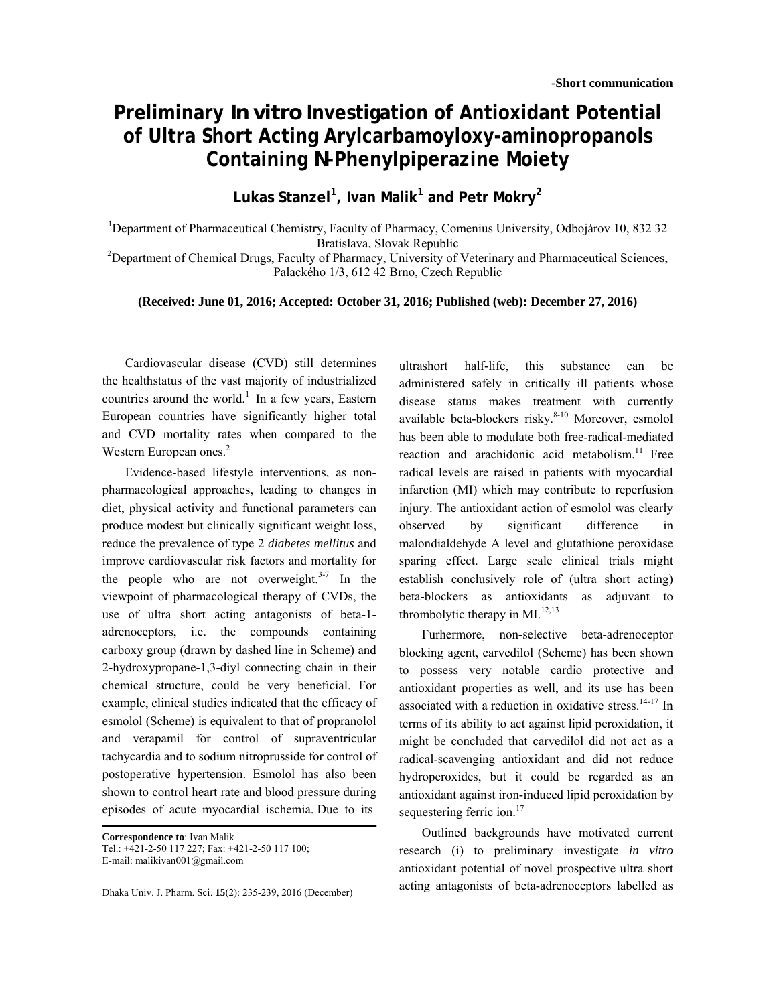## **Preliminary** *In vitro* **Investigation of Antioxidant Potential of Ultra Short Acting Arylcarbamoyloxy-aminopropanols Containing** *N***-Phenylpiperazine Moiety**

**Lukas Stanzel1 , Ivan Malik<sup>1</sup> and Petr Mokry<sup>2</sup>**

<sup>1</sup>Department of Pharmaceutical Chemistry, Faculty of Pharmacy, Comenius University, Odbojárov 10, 832 32 Bratislava, Slovak Republic<br><sup>2</sup>Department of Chemical Drugs, Faculty of Pharmacy, University of Veterinary and Pharmaceutical Sciences,

Palackého 1/3, 612 42 Brno, Czech Republic

## **(Received: June 01, 2016; Accepted: October 31, 2016; Published (web): December 27, 2016)**

 Cardiovascular disease (CVD) still determines the healthstatus of the vast majority of industrialized countries around the world.<sup>1</sup> In a few years, Eastern European countries have significantly higher total and CVD mortality rates when compared to the Western European ones.<sup>2</sup>

 Evidence-based lifestyle interventions, as nonpharmacological approaches, leading to changes in diet, physical activity and functional parameters can produce modest but clinically significant weight loss, reduce the prevalence of type 2 *diabetes mellitus* and improve cardiovascular risk factors and mortality for the people who are not overweight. $3-7$  In the viewpoint of pharmacological therapy of CVDs, the use of ultra short acting antagonists of beta-1 adrenoceptors, i.e. the compounds containing carboxy group (drawn by dashed line in Scheme) and 2-hydroxypropane-1,3-diyl connecting chain in their chemical structure, could be very beneficial. For example, clinical studies indicated that the efficacy of esmolol (Scheme) is equivalent to that of propranolol and verapamil for control of supraventricular tachycardia and to sodium nitroprusside for control of postoperative hypertension. Esmolol has also been shown to control heart rate and blood pressure during episodes of acute myocardial ischemia. Due to its

**Correspondence to**: Ivan Malik Tel.: +421-2-50 117 227; Fax: +421-2-50 117 100; E-mail: malikivan001@gmail.com

Dhaka Univ. J. Pharm. Sci. **15**(2): 235-239, 2016 (December)

ultrashort half-life, this substance can be administered safely in critically ill patients whose disease status makes treatment with currently available beta-blockers risky.<sup>8-10</sup> Moreover, esmolol has been able to modulate both free-radical-mediated reaction and arachidonic acid metabolism.<sup>11</sup> Free radical levels are raised in patients with myocardial infarction (MI) which may contribute to reperfusion injury. The antioxidant action of esmolol was clearly observed by significant difference in malondialdehyde A level and glutathione peroxidase sparing effect. Large scale clinical trials might establish conclusively role of (ultra short acting) beta-blockers as antioxidants as adjuvant to thrombolytic therapy in  $MI.$ <sup>12,13</sup>

 Furhermore, non-selective beta-adrenoceptor blocking agent, carvedilol (Scheme) has been shown to possess very notable cardio protective and antioxidant properties as well, and its use has been associated with a reduction in oxidative stress. $14-17$  In terms of its ability to act against lipid peroxidation, it might be concluded that carvedilol did not act as a radical-scavenging antioxidant and did not reduce hydroperoxides, but it could be regarded as an antioxidant against iron-induced lipid peroxidation by sequestering ferric ion.<sup>17</sup>

 Outlined backgrounds have motivated current research (i) to preliminary investigate *in vitro* antioxidant potential of novel prospective ultra short acting antagonists of beta-adrenoceptors labelled as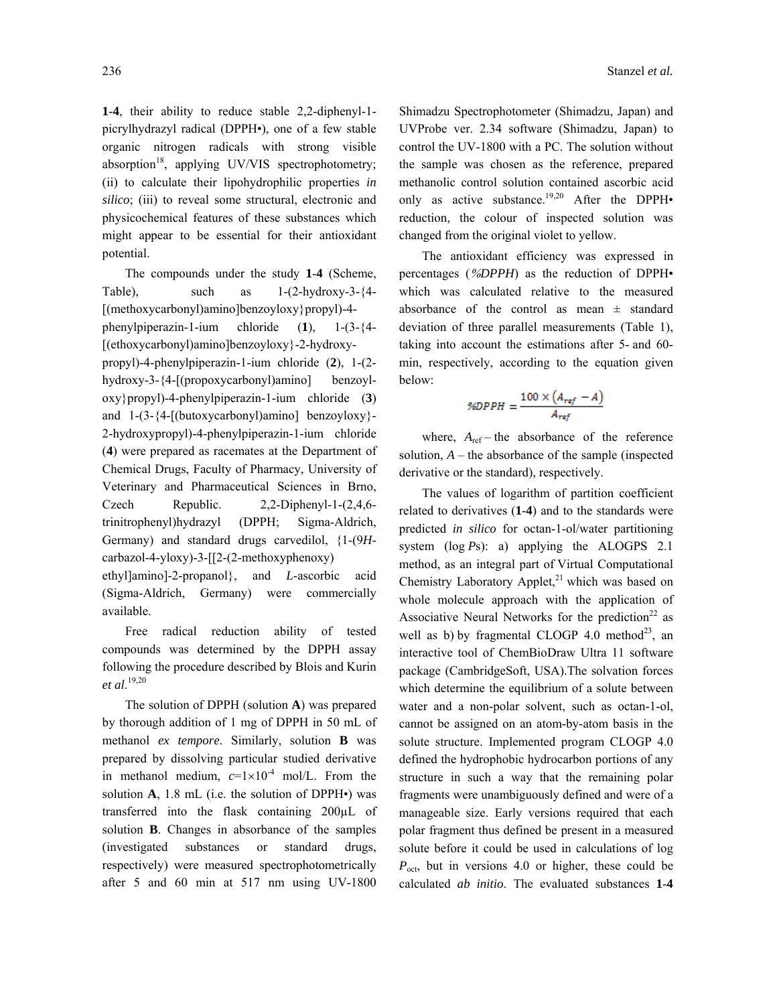**1**-**4**, their ability to reduce stable 2,2-diphenyl-1 picrylhydrazyl radical (DPPH•), one of a few stable organic nitrogen radicals with strong visible absorption<sup>18</sup>, applying UV/VIS spectrophotometry; (ii) to calculate their lipohydrophilic properties *in silico*; (iii) to reveal some structural, electronic and physicochemical features of these substances which might appear to be essential for their antioxidant potential.

The compounds under the study **1**-**4** (Scheme, Table), such as  $1-(2-hydroxy-3-{4-}$ [(methoxycarbonyl)amino]benzoyloxy}propyl)-4 phenylpiperazin-1-ium chloride (**1**), 1-(3-{4- [(ethoxycarbonyl)amino]benzoyloxy}-2-hydroxypropyl)-4-phenylpiperazin-1-ium chloride (**2**), 1-(2 hydroxy-3-{4-[(propoxycarbonyl)amino] benzoyloxy}propyl)-4-phenylpiperazin-1-ium chloride (**3**) and 1-(3-{4-[(butoxycarbonyl)amino] benzoyloxy}- 2-hydroxypropyl)-4-phenylpiperazin-1-ium chloride (**4**) were prepared as racemates at the Department of Chemical Drugs, Faculty of Pharmacy, University of Veterinary and Pharmaceutical Sciences in Brno, Czech Republic. 2,2-Diphenyl-1-(2,4,6 trinitrophenyl)hydrazyl (DPPH; Sigma-Aldrich, Germany) and standard drugs carvedilol, {1-(9*H*carbazol-4-yloxy)-3-[[2-(2-methoxyphenoxy)

ethyl]amino]-2-propanol}, and *L*-ascorbic acid (Sigma-Aldrich, Germany) were commercially available.

Free radical reduction ability of tested compounds was determined by the DPPH assay following the procedure described by Blois and Kurin *et al*. 19,20

 The solution of DPPH (solution **A**) was prepared by thorough addition of 1 mg of DPPH in 50 mL of methanol *ex tempore*. Similarly, solution **B** was prepared by dissolving particular studied derivative in methanol medium,  $c=1\times10^{-4}$  mol/L. From the solution **A**, 1.8 mL (i.e. the solution of DPPH•) was transferred into the flask containing 200µL of solution **B**. Changes in absorbance of the samples (investigated substances or standard drugs, respectively) were measured spectrophotometrically after 5 and 60 min at 517 nm using UV-1800

Shimadzu Spectrophotometer (Shimadzu, Japan) and UVProbe ver. 2.34 software (Shimadzu, Japan) to control the UV-1800 with a PC. The solution without the sample was chosen as the reference, prepared methanolic control solution contained ascorbic acid only as active substance.<sup>19,20</sup> After the DPPH $\bullet$ reduction, the colour of inspected solution was changed from the original violet to yellow.

 The antioxidant efficiency was expressed in percentages (%*DPPH*) as the reduction of DPPH• which was calculated relative to the measured absorbance of the control as mean  $\pm$  standard deviation of three parallel measurements (Table 1), taking into account the estimations after 5- and 60 min, respectively, according to the equation given below:

$$
\%DPPH = \frac{100 \times (A_{ref} - A)}{A_{ref}}
$$

where,  $A_{ref}$  – the absorbance of the reference solution,  $A$  – the absorbance of the sample (inspected derivative or the standard), respectively.

The values of logarithm of partition coefficient related to derivatives (**1**-**4**) and to the standards were predicted *in silico* for octan-1-ol/water partitioning system (log *P*s): a) applying the ALOGPS 2.1 method, as an integral part of Virtual Computational Chemistry Laboratory Applet, $21$  which was based on whole molecule approach with the application of Associative Neural Networks for the prediction<sup>22</sup> as well as b) by fragmental CLOGP 4.0 method<sup>23</sup>, an interactive tool of ChemBioDraw Ultra 11 software package (CambridgeSoft, USA).The solvation forces which determine the equilibrium of a solute between water and a non-polar solvent, such as octan-1-ol, cannot be assigned on an atom-by-atom basis in the solute structure. Implemented program CLOGP 4.0 defined the hydrophobic hydrocarbon portions of any structure in such a way that the remaining polar fragments were unambiguously defined and were of a manageable size. Early versions required that each polar fragment thus defined be present in a measured solute before it could be used in calculations of log *P*<sub>oct</sub>, but in versions 4.0 or higher, these could be calculated *ab initio*. The evaluated substances **1**-**4**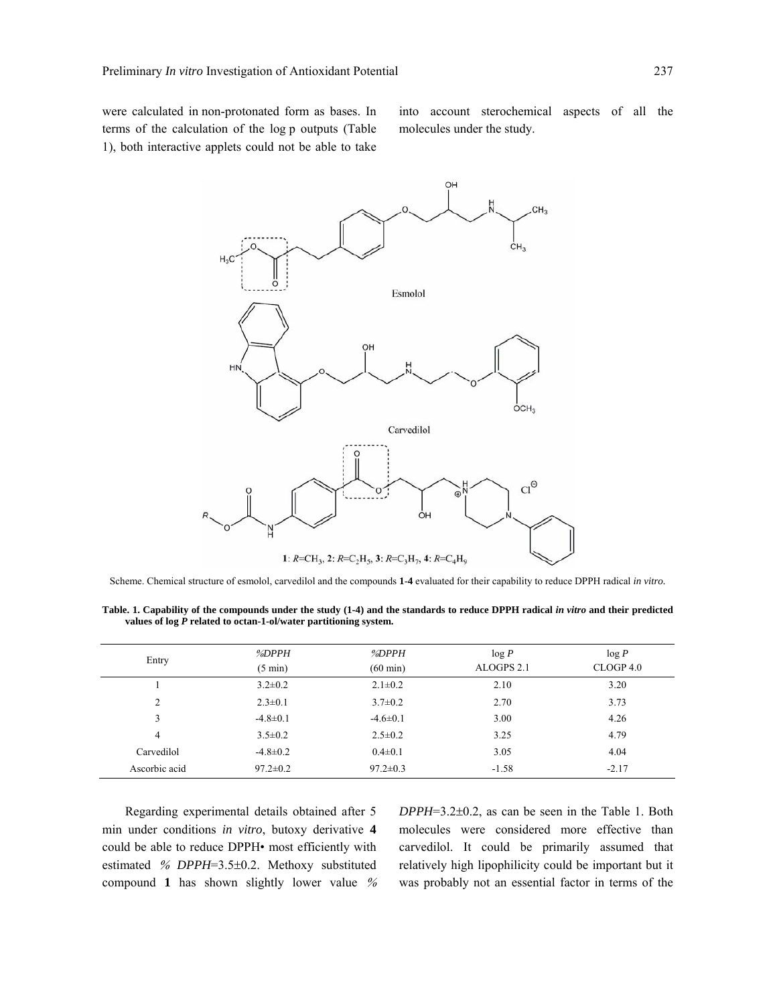were calculated in non-protonated form as bases. In terms of the calculation of the log p outputs (Table 1), both interactive applets could not be able to take into account sterochemical aspects of all the molecules under the study.



Scheme. Chemical structure of esmolol, carvedilol and the compounds **1**-**4** evaluated for their capability to reduce DPPH radical *in vitro.*

**Table. 1. Capability of the compounds under the study (1-4) and the standards to reduce DPPH radical** *in vitro* **and their predicted values of log** *P* **related to octan-1-ol/water partitioning system.** 

| Entry          | %DPPH<br>$(5 \text{ min})$ | %DPPH<br>$(60 \text{ min})$ | log P<br>ALOGPS 2.1 | log P<br>CLOGP <sub>4.0</sub> |
|----------------|----------------------------|-----------------------------|---------------------|-------------------------------|
|                | $3.2 \pm 0.2$              | $2.1 \pm 0.2$               | 2.10                | 3.20                          |
| $\overline{c}$ | $2.3 \pm 0.1$              | $3.7 \pm 0.2$               | 2.70                | 3.73                          |
|                | $-4.8 \pm 0.1$             | $-4.6 \pm 0.1$              | 3.00                | 4.26                          |
| 4              | $3.5 \pm 0.2$              | $2.5 \pm 0.2$               | 3.25                | 4.79                          |
| Carvedilol     | $-4.8 \pm 0.2$             | $0.4 \pm 0.1$               | 3.05                | 4.04                          |
| Ascorbic acid  | $97.2 \pm 0.2$             | $97.2 \pm 0.3$              | $-1.58$             | $-2.17$                       |

 Regarding experimental details obtained after 5 min under conditions *in vitro*, butoxy derivative **4** could be able to reduce DPPH• most efficiently with estimated % *DPPH*=3.5±0.2. Methoxy substituted compound **1** has shown slightly lower value % *DPPH*=3.2±0.2, as can be seen in the Table 1. Both molecules were considered more effective than carvedilol. It could be primarily assumed that relatively high lipophilicity could be important but it was probably not an essential factor in terms of the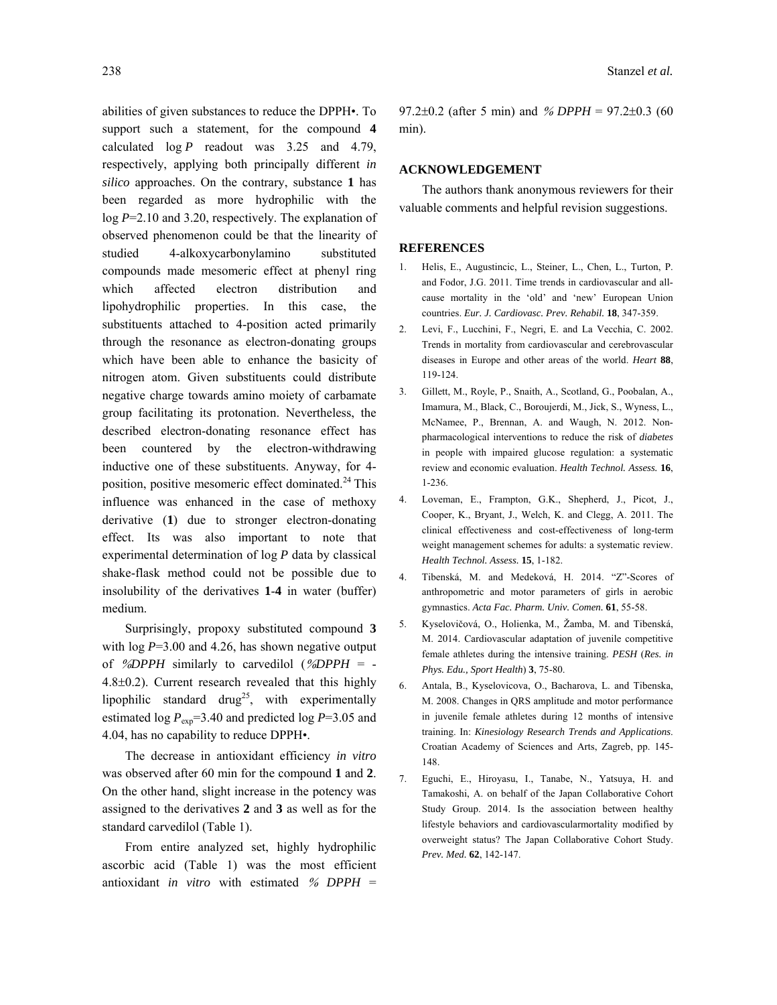abilities of given substances to reduce the DPPH•. To support such a statement, for the compound **4**  calculated log *P* readout was 3.25 and 4.79, respectively, applying both principally different *in silico* approaches. On the contrary, substance **1** has been regarded as more hydrophilic with the log *P*=2.10 and 3.20, respectively. The explanation of observed phenomenon could be that the linearity of studied 4-alkoxycarbonylamino substituted compounds made mesomeric effect at phenyl ring which affected electron distribution and lipohydrophilic properties. In this case, the substituents attached to 4-position acted primarily through the resonance as electron-donating groups which have been able to enhance the basicity of nitrogen atom. Given substituents could distribute negative charge towards amino moiety of carbamate group facilitating its protonation. Nevertheless, the described electron-donating resonance effect has been countered by the electron-withdrawing inductive one of these substituents. Anyway, for 4 position, positive mesomeric effect dominated. $^{24}$  This influence was enhanced in the case of methoxy derivative (**1**) due to stronger electron-donating effect. Its was also important to note that experimental determination of log *P* data by classical shake-flask method could not be possible due to insolubility of the derivatives **1**-**4** in water (buffer) medium.

 Surprisingly, propoxy substituted compound **3** with  $log P=3.00$  and 4.26, has shown negative output of %*DPPH* similarly to carvedilol (%*DPPH* = - 4.8±0.2). Current research revealed that this highly lipophilic standard drug<sup>25</sup>, with experimentally estimated log  $P_{exp}$ =3.40 and predicted log  $P$ =3.05 and 4.04, has no capability to reduce DPPH•.

 The decrease in antioxidant efficiency *in vitro*  was observed after 60 min for the compound **1** and **2**. On the other hand, slight increase in the potency was assigned to the derivatives **2** and **3** as well as for the standard carvedilol (Table 1).

 From entire analyzed set, highly hydrophilic ascorbic acid (Table 1) was the most efficient antioxidant *in vitro* with estimated % *DPPH* = 97.2±0.2 (after 5 min) and % *DPPH* = 97.2±0.3 (60 min).

## **ACKNOWLEDGEMENT**

 The authors thank anonymous reviewers for their valuable comments and helpful revision suggestions.

## **REFERENCES**

- 1. Helis, E., Augustincic, L., Steiner, L., Chen, L., Turton, P. and Fodor, J.G. 2011. Time trends in cardiovascular and allcause mortality in the 'old' and 'new' European Union countries. *Eur. J. Cardiovasc. Prev. Rehabil.* **18**, 347-359.
- 2. Levi, F., Lucchini, F., Negri, E. and La Vecchia, C. 2002. Trends in mortality from cardiovascular and cerebrovascular diseases in Europe and other areas of the world. *Heart* **88**, 119-124.
- 3. Gillett, M., Royle, P., Snaith, A., Scotland, G., Poobalan, A., Imamura, M., Black, C., Boroujerdi, M., Jick, S., Wyness, L., McNamee, P., Brennan, A. and Waugh, N. 2012. Nonpharmacological interventions to reduce the risk of *diabetes* in people with impaired glucose regulation: a systematic review and economic evaluation. *Health Technol. Assess.* **16**, 1-236.
- 4. Loveman, E., Frampton, G.K., Shepherd, J., Picot, J., Cooper, K., Bryant, J., Welch, K. and Clegg, A. 2011. The clinical effectiveness and cost-effectiveness of long-term weight management schemes for adults: a systematic review. *Health Technol. Assess.* **15**, 1-182.
- 4. Tibenská, M. and Medeková, H. 2014. "Z"-Scores of anthropometric and motor parameters of girls in aerobic gymnastics. *Acta Fac. Pharm. Univ. Comen.* **61**, 55-58.
- 5. Kyselovičová, O., Holienka, M., Žamba, M. and Tibenská, M. 2014. Cardiovascular adaptation of juvenile competitive female athletes during the intensive training. *PESH* (*Res. in Phys. Edu., Sport Health*) **3**, 75-80.
- 6. Antala, B., Kyselovicova, O., Bacharova, L. and Tibenska, M. 2008. Changes in QRS amplitude and motor performance in juvenile female athletes during 12 months of intensive training. In: *Kinesiology Research Trends and Applications*. Croatian Academy of Sciences and Arts, Zagreb, pp. 145- 148.
- 7. Eguchi, E., Hiroyasu, I., Tanabe, N., Yatsuya, H. and Tamakoshi, A. on behalf of the Japan Collaborative Cohort Study Group. 2014. Is the association between healthy lifestyle behaviors and cardiovascularmortality modified by overweight status? The Japan Collaborative Cohort Study. *Prev. Med.* **62**, 142-147.